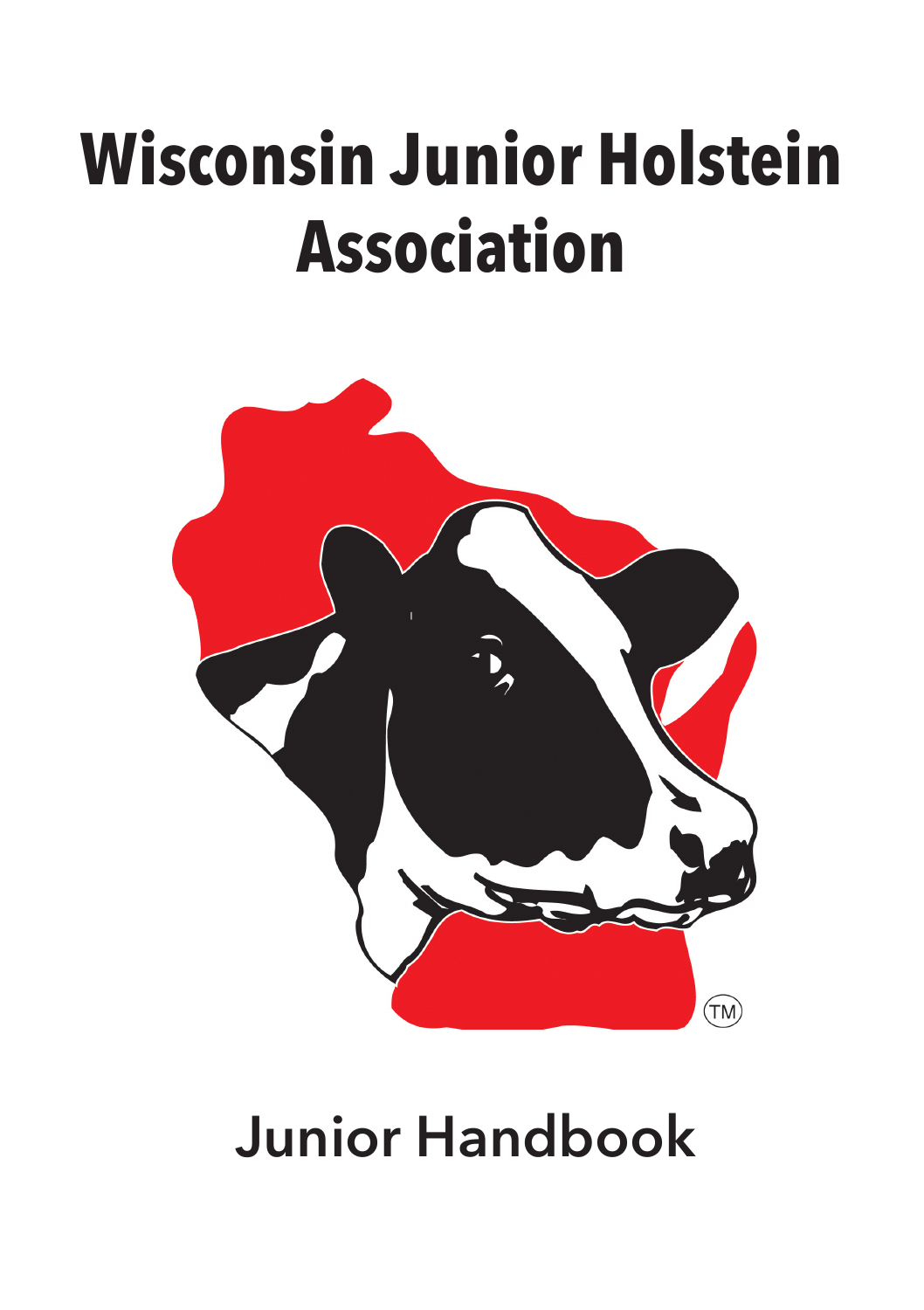# **Wisconsin Junior Holstein Association**



# **Junior Handbook**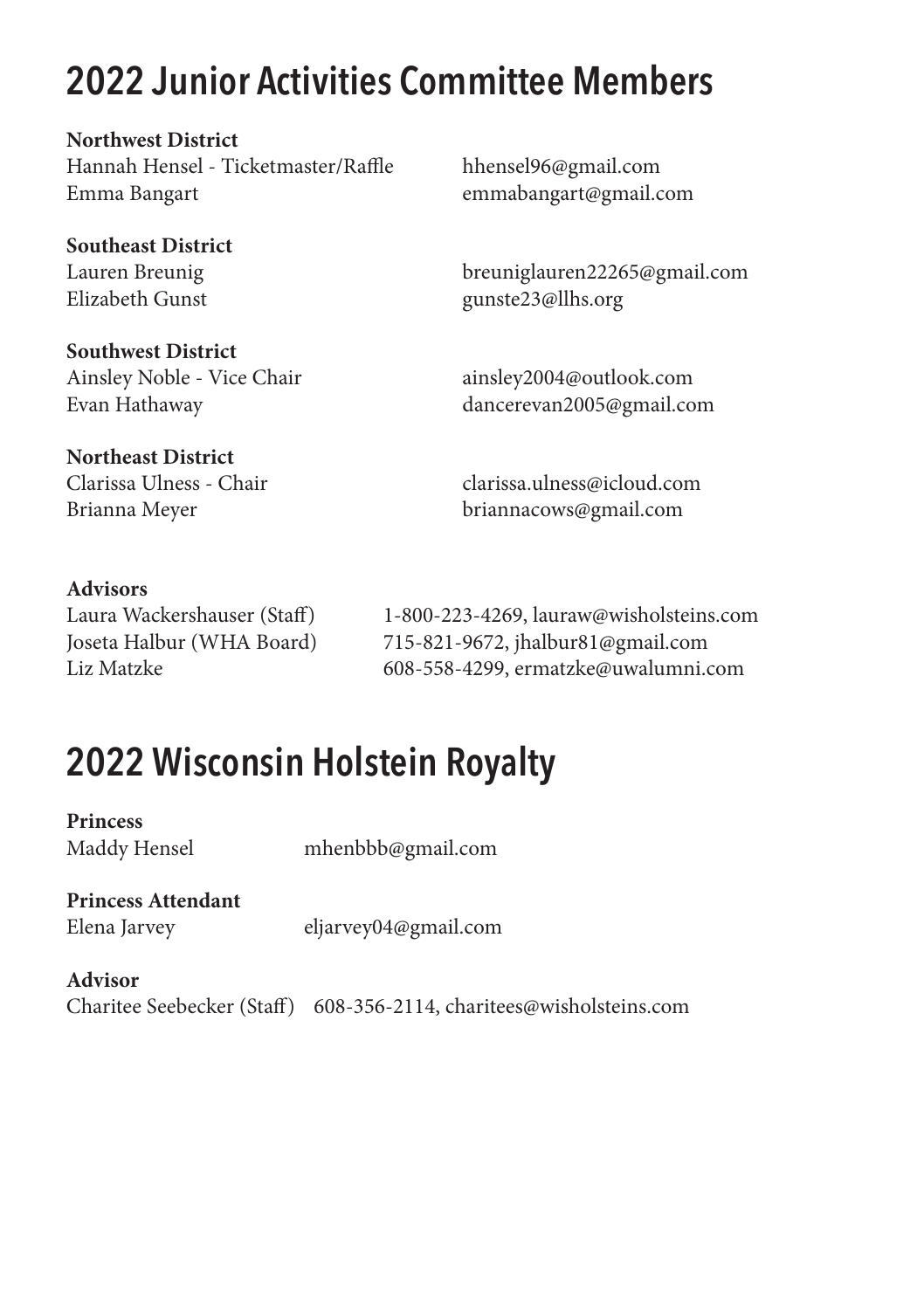# **2022 Junior Activities Committee Members**

**Northwest District** Hannah Hensel - Ticketmaster/Raffle hhensel96@gmail.com Emma Bangart emmabangart@gmail.com

**Southeast District**

**Southwest District** Ainsley Noble - Vice Chair ainsley2004@outlook.com

**Northeast District**

Lauren Breunig breuniglauren22265@gmail.com gunste23@llhs.org

Evan Hathaway dancerevan2005@gmail.com

Clarissa Ulness - Chair clarissa.ulness@icloud.com Brianna Meyer briannacows@gmail.com

#### **Advisors**

Laura Wackershauser (Staff) 1-800-223-4269, lauraw@wisholsteins.com Joseta Halbur (WHA Board) 715-821-9672, jhalbur81@gmail.com Liz Matzke 608-558-4299, ermatzke@uwalumni.com

# **2022 Wisconsin Holstein Royalty**

**Princess** 

Maddy Hensel mhenbbb@gmail.com

**Princess Attendant**

Elena Jarvey eljarvey04@gmail.com

#### **Advisor**

Charitee Seebecker (Staff) 608-356-2114, charitees@wisholsteins.com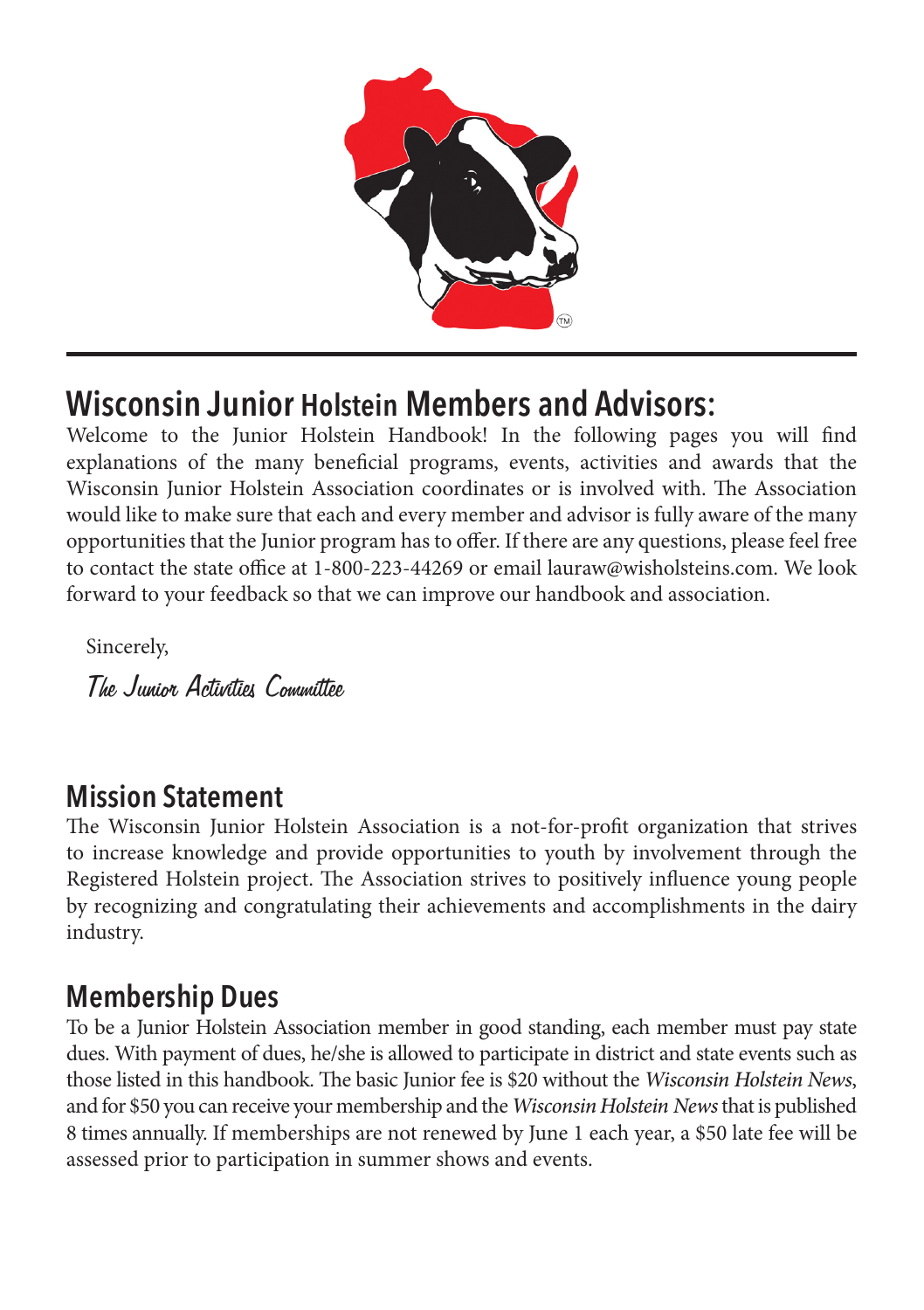

## **Wisconsin Junior Holstein Members and Advisors:**

Welcome to the Junior Holstein Handbook! In the following pages you will find explanations of the many beneficial programs, events, activities and awards that the Wisconsin Junior Holstein Association coordinates or is involved with. The Association would like to make sure that each and every member and advisor is fully aware of the many opportunities that the Junior program has to offer. If there are any questions, please feel free to contact the state office at 1-800-223-44269 or email lauraw@wisholsteins.com. We look forward to your feedback so that we can improve our handbook and association.

Sincerely,

The Junior Activities Committee

#### **Mission Statement**

The Wisconsin Junior Holstein Association is a not-for-profit organization that strives to increase knowledge and provide opportunities to youth by involvement through the Registered Holstein project. The Association strives to positively influence young people by recognizing and congratulating their achievements and accomplishments in the dairy industry.

#### **Membership Dues**

To be a Junior Holstein Association member in good standing, each member must pay state dues. With payment of dues, he/she is allowed to participate in district and state events such as those listed in this handbook. The basic Junior fee is \$20 without the *Wisconsin Holstein News*, and for \$50 you can receive your membership and the *Wisconsin Holstein News* that is published 8 times annually. If memberships are not renewed by June 1 each year, a \$50 late fee will be assessed prior to participation in summer shows and events.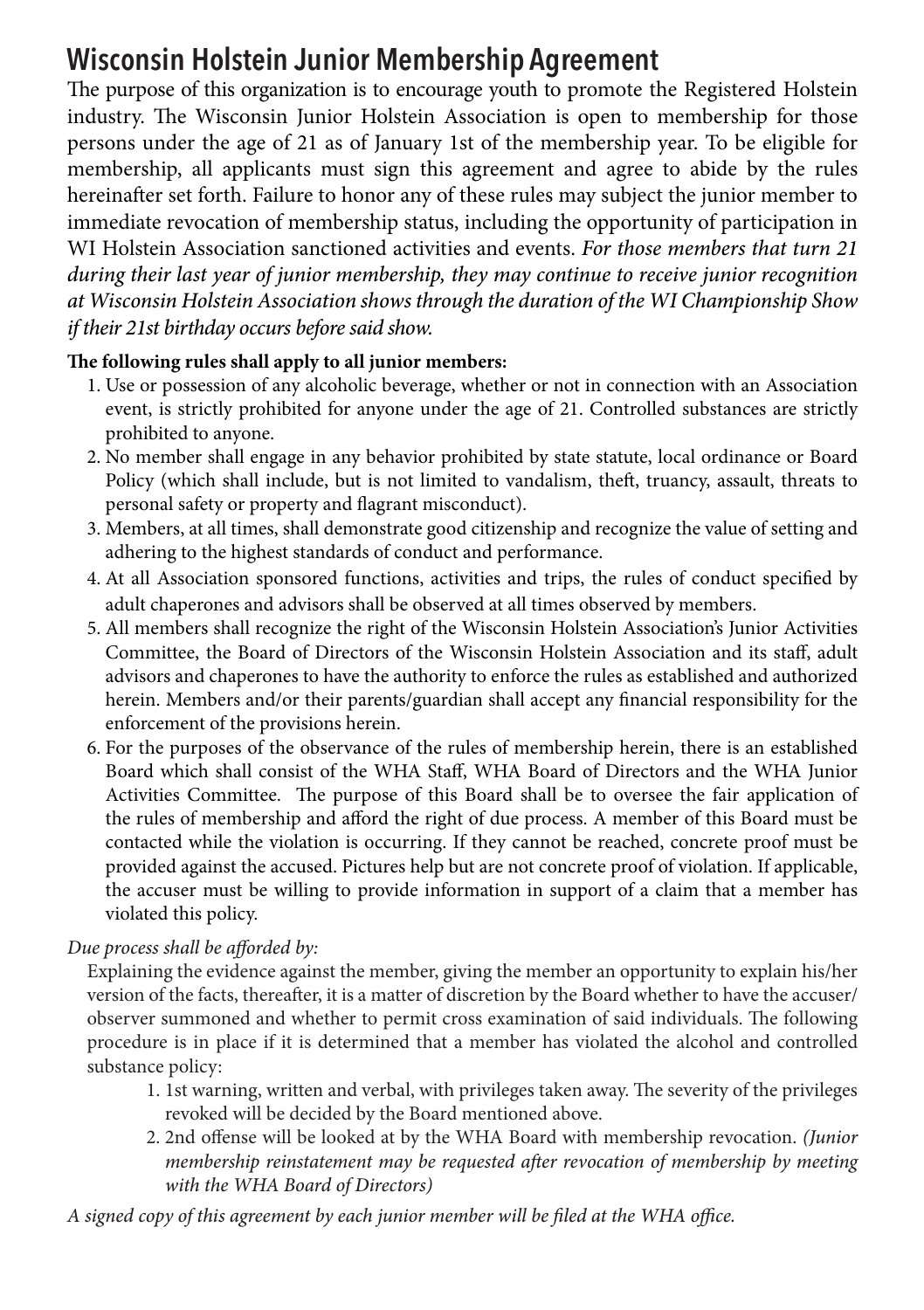#### **Wisconsin Holstein Junior Membership Agreement**

The purpose of this organization is to encourage youth to promote the Registered Holstein industry. The Wisconsin Junior Holstein Association is open to membership for those persons under the age of 21 as of January 1st of the membership year. To be eligible for membership, all applicants must sign this agreement and agree to abide by the rules hereinafter set forth. Failure to honor any of these rules may subject the junior member to immediate revocation of membership status, including the opportunity of participation in WI Holstein Association sanctioned activities and events. *For those members that turn 21 during their last year of junior membership, they may continue to receive junior recognition at Wisconsin Holstein Association shows through the duration of the WI Championship Show if their 21st birthday occurs before said show.*

#### **The following rules shall apply to all junior members:**

- 1. Use or possession of any alcoholic beverage, whether or not in connection with an Association event, is strictly prohibited for anyone under the age of 21. Controlled substances are strictly prohibited to anyone.
- 2. No member shall engage in any behavior prohibited by state statute, local ordinance or Board Policy (which shall include, but is not limited to vandalism, theft, truancy, assault, threats to personal safety or property and flagrant misconduct).
- 3. Members, at all times, shall demonstrate good citizenship and recognize the value of setting and adhering to the highest standards of conduct and performance.
- 4. At all Association sponsored functions, activities and trips, the rules of conduct specified by adult chaperones and advisors shall be observed at all times observed by members.
- 5. All members shall recognize the right of the Wisconsin Holstein Association's Junior Activities Committee, the Board of Directors of the Wisconsin Holstein Association and its staff, adult advisors and chaperones to have the authority to enforce the rules as established and authorized herein. Members and/or their parents/guardian shall accept any financial responsibility for the enforcement of the provisions herein.
- 6. For the purposes of the observance of the rules of membership herein, there is an established Board which shall consist of the WHA Staff, WHA Board of Directors and the WHA Junior Activities Committee. The purpose of this Board shall be to oversee the fair application of the rules of membership and afford the right of due process. A member of this Board must be contacted while the violation is occurring. If they cannot be reached, concrete proof must be provided against the accused. Pictures help but are not concrete proof of violation. If applicable, the accuser must be willing to provide information in support of a claim that a member has violated this policy.

#### *Due process shall be afforded by:*

 Explaining the evidence against the member, giving the member an opportunity to explain his/her version of the facts, thereafter, it is a matter of discretion by the Board whether to have the accuser/ observer summoned and whether to permit cross examination of said individuals. The following procedure is in place if it is determined that a member has violated the alcohol and controlled substance policy:

- 1. 1st warning, written and verbal, with privileges taken away. The severity of the privileges revoked will be decided by the Board mentioned above.
- 2. 2nd offense will be looked at by the WHA Board with membership revocation. *(Junior membership reinstatement may be requested after revocation of membership by meeting with the WHA Board of Directors)*

*A signed copy of this agreement by each junior member will be filed at the WHA office.*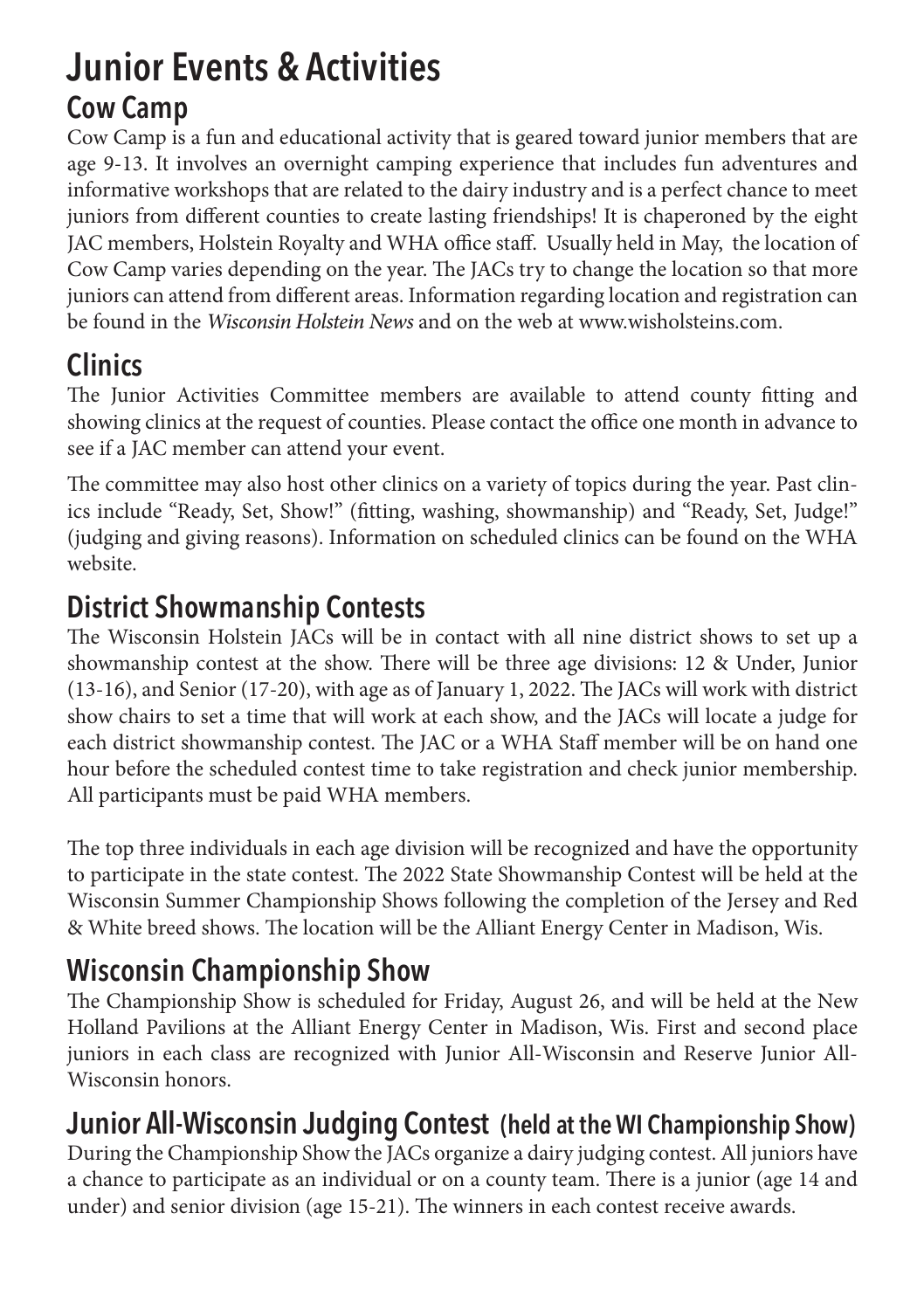## **Junior Events & Activities Cow Camp**

Cow Camp is a fun and educational activity that is geared toward junior members that are age 9-13. It involves an overnight camping experience that includes fun adventures and informative workshops that are related to the dairy industry and is a perfect chance to meet juniors from different counties to create lasting friendships! It is chaperoned by the eight JAC members, Holstein Royalty and WHA office staff. Usually held in May, the location of Cow Camp varies depending on the year. The JACs try to change the location so that more juniors can attend from different areas. Information regarding location and registration can be found in the *Wisconsin Holstein News* and on the web at www.wisholsteins.com.

#### **Clinics**

The Junior Activities Committee members are available to attend county fitting and showing clinics at the request of counties. Please contact the office one month in advance to see if a JAC member can attend your event.

The committee may also host other clinics on a variety of topics during the year. Past clinics include "Ready, Set, Show!" (fitting, washing, showmanship) and "Ready, Set, Judge!" (judging and giving reasons). Information on scheduled clinics can be found on the WHA website.

#### **District Showmanship Contests**

The Wisconsin Holstein JACs will be in contact with all nine district shows to set up a showmanship contest at the show. There will be three age divisions: 12 & Under, Junior (13-16), and Senior (17-20), with age as of January 1, 2022. The JACs will work with district show chairs to set a time that will work at each show, and the JACs will locate a judge for each district showmanship contest. The JAC or a WHA Staff member will be on hand one hour before the scheduled contest time to take registration and check junior membership. All participants must be paid WHA members.

The top three individuals in each age division will be recognized and have the opportunity to participate in the state contest. The 2022 State Showmanship Contest will be held at the Wisconsin Summer Championship Shows following the completion of the Jersey and Red & White breed shows. The location will be the Alliant Energy Center in Madison, Wis.

## **Wisconsin Championship Show**

The Championship Show is scheduled for Friday, August 26, and will be held at the New Holland Pavilions at the Alliant Energy Center in Madison, Wis. First and second place juniors in each class are recognized with Junior All-Wisconsin and Reserve Junior All-Wisconsin honors.

#### **Junior All-Wisconsin Judging Contest (held at the WI Championship Show)**

During the Championship Show the JACs organize a dairy judging contest. All juniors have a chance to participate as an individual or on a county team. There is a junior (age 14 and under) and senior division (age 15-21). The winners in each contest receive awards.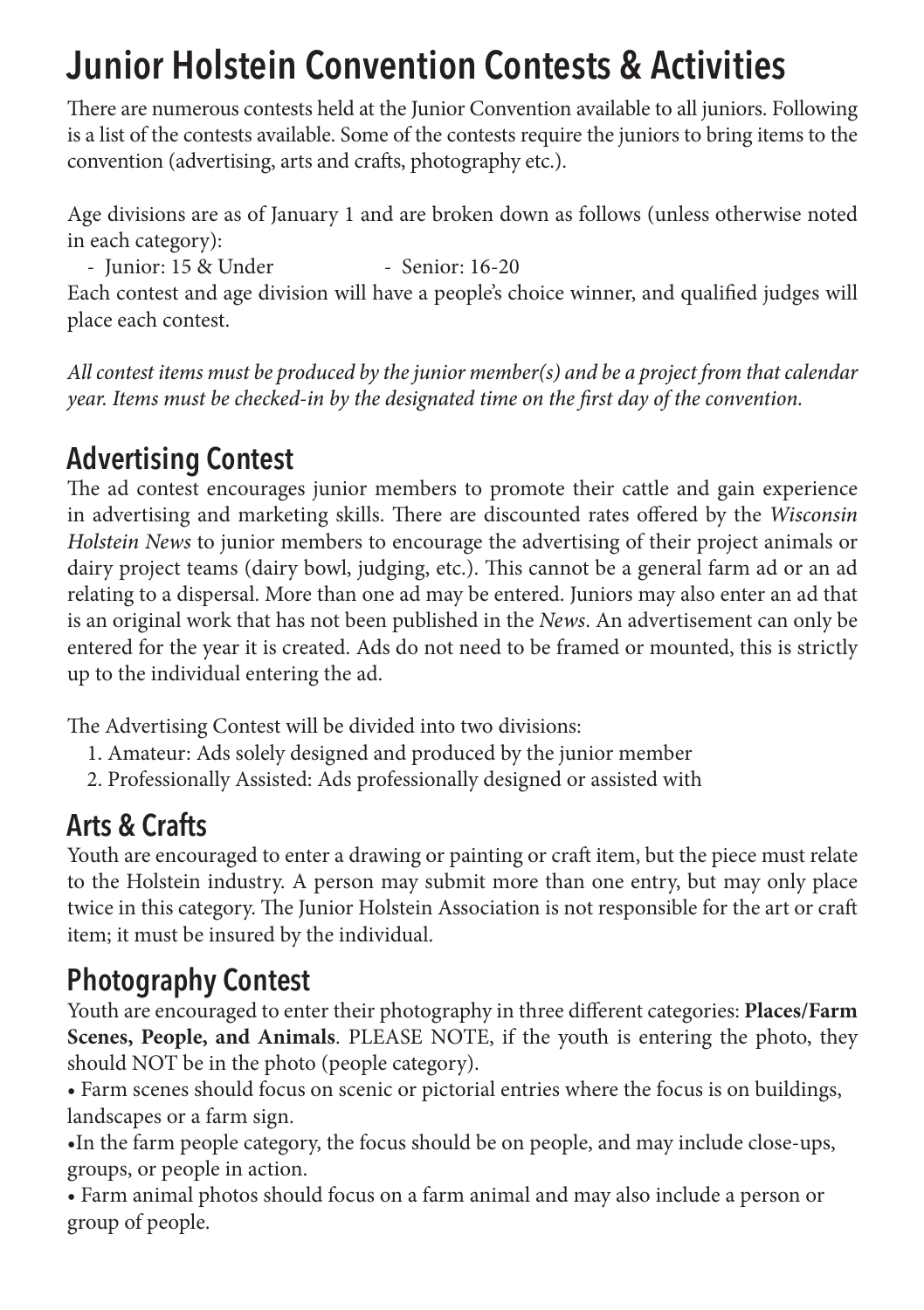# **Junior Holstein Convention Contests & Activities**

There are numerous contests held at the Junior Convention available to all juniors. Following is a list of the contests available. Some of the contests require the juniors to bring items to the convention (advertising, arts and crafts, photography etc.).

Age divisions are as of January 1 and are broken down as follows (unless otherwise noted in each category):

- Junior: 15 & Under - Senior: 16-20

Each contest and age division will have a people's choice winner, and qualified judges will place each contest.

*All contest items must be produced by the junior member(s) and be a project from that calendar year. Items must be checked-in by the designated time on the first day of the convention.*

#### **Advertising Contest**

The ad contest encourages junior members to promote their cattle and gain experience in advertising and marketing skills. There are discounted rates offered by the *Wisconsin Holstein News* to junior members to encourage the advertising of their project animals or dairy project teams (dairy bowl, judging, etc.). This cannot be a general farm ad or an ad relating to a dispersal. More than one ad may be entered. Juniors may also enter an ad that is an original work that has not been published in the *News*. An advertisement can only be entered for the year it is created. Ads do not need to be framed or mounted, this is strictly up to the individual entering the ad.

The Advertising Contest will be divided into two divisions:

1. Amateur: Ads solely designed and produced by the junior member

2. Professionally Assisted: Ads professionally designed or assisted with

#### **Arts & Crafts**

Youth are encouraged to enter a drawing or painting or craft item, but the piece must relate to the Holstein industry. A person may submit more than one entry, but may only place twice in this category. The Junior Holstein Association is not responsible for the art or craft item; it must be insured by the individual.

#### **Photography Contest**

Youth are encouraged to enter their photography in three different categories: **Places/Farm Scenes, People, and Animals**. PLEASE NOTE, if the youth is entering the photo, they should NOT be in the photo (people category).

• Farm scenes should focus on scenic or pictorial entries where the focus is on buildings, landscapes or a farm sign.

•In the farm people category, the focus should be on people, and may include close-ups, groups, or people in action.

• Farm animal photos should focus on a farm animal and may also include a person or group of people.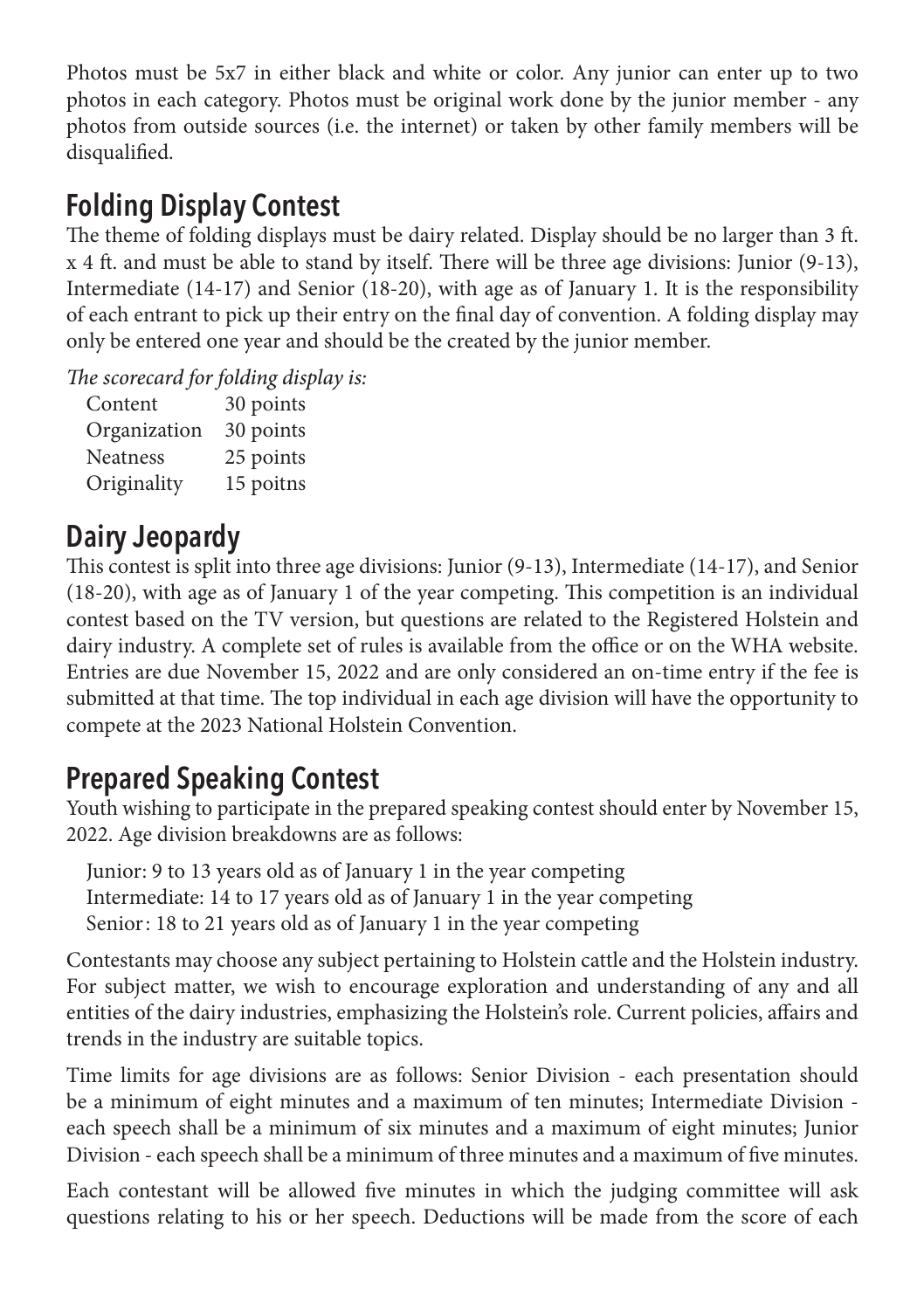Photos must be 5x7 in either black and white or color. Any junior can enter up to two photos in each category. Photos must be original work done by the junior member - any photos from outside sources (i.e. the internet) or taken by other family members will be disqualified.

#### **Folding Display Contest**

The theme of folding displays must be dairy related. Display should be no larger than 3 ft. x 4 ft. and must be able to stand by itself. There will be three age divisions: Junior (9-13), Intermediate (14-17) and Senior (18-20), with age as of January 1. It is the responsibility of each entrant to pick up their entry on the final day of convention. A folding display may only be entered one year and should be the created by the junior member.

*The scorecard for folding display is:*

| Content         | 30 points |
|-----------------|-----------|
| Organization    | 30 points |
| <b>Neatness</b> | 25 points |
| Originality     | 15 poitns |

#### **Dairy Jeopardy**

This contest is split into three age divisions: Junior (9-13), Intermediate (14-17), and Senior (18-20), with age as of January 1 of the year competing. This competition is an individual contest based on the TV version, but questions are related to the Registered Holstein and dairy industry. A complete set of rules is available from the office or on the WHA website. Entries are due November 15, 2022 and are only considered an on-time entry if the fee is submitted at that time. The top individual in each age division will have the opportunity to compete at the 2023 National Holstein Convention.

#### **Prepared Speaking Contest**

Youth wishing to participate in the prepared speaking contest should enter by November 15, 2022. Age division breakdowns are as follows:

Junior: 9 to 13 years old as of January 1 in the year competing Intermediate: 14 to 17 years old as of January 1 in the year competing Senior: 18 to 21 years old as of January 1 in the year competing

Contestants may choose any subject pertaining to Holstein cattle and the Holstein industry. For subject matter, we wish to encourage exploration and understanding of any and all entities of the dairy industries, emphasizing the Holstein's role. Current policies, affairs and trends in the industry are suitable topics.

Time limits for age divisions are as follows: Senior Division - each presentation should be a minimum of eight minutes and a maximum of ten minutes; Intermediate Division each speech shall be a minimum of six minutes and a maximum of eight minutes; Junior Division - each speech shall be a minimum of three minutes and a maximum of five minutes.

Each contestant will be allowed five minutes in which the judging committee will ask questions relating to his or her speech. Deductions will be made from the score of each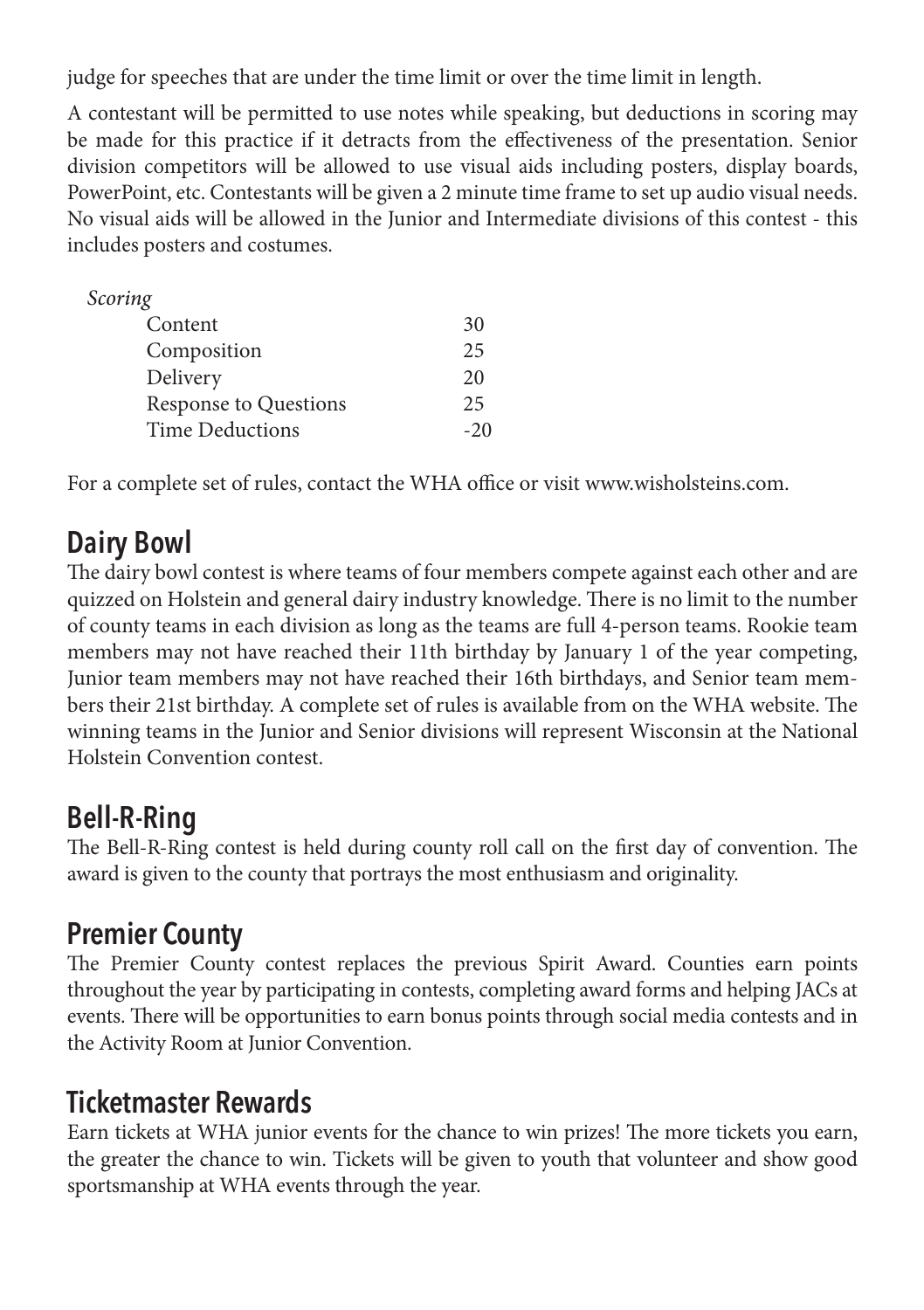judge for speeches that are under the time limit or over the time limit in length.

A contestant will be permitted to use notes while speaking, but deductions in scoring may be made for this practice if it detracts from the effectiveness of the presentation. Senior division competitors will be allowed to use visual aids including posters, display boards, PowerPoint, etc. Contestants will be given a 2 minute time frame to set up audio visual needs. No visual aids will be allowed in the Junior and Intermediate divisions of this contest - this includes posters and costumes.

| Scoring                |       |
|------------------------|-------|
| Content                | 30    |
| Composition            | 25    |
| Delivery               | 20    |
| Response to Questions  | 25    |
| <b>Time Deductions</b> | $-20$ |

For a complete set of rules, contact the WHA office or visit www.wisholsteins.com.

#### **Dairy Bowl**

The dairy bowl contest is where teams of four members compete against each other and are quizzed on Holstein and general dairy industry knowledge. There is no limit to the number of county teams in each division as long as the teams are full 4-person teams. Rookie team members may not have reached their 11th birthday by January 1 of the year competing, Junior team members may not have reached their 16th birthdays, and Senior team members their 21st birthday. A complete set of rules is available from on the WHA website. The winning teams in the Junior and Senior divisions will represent Wisconsin at the National Holstein Convention contest.

#### **Bell-R-Ring**

The Bell-R-Ring contest is held during county roll call on the first day of convention. The award is given to the county that portrays the most enthusiasm and originality.

#### **Premier County**

The Premier County contest replaces the previous Spirit Award. Counties earn points throughout the year by participating in contests, completing award forms and helping JACs at events. There will be opportunities to earn bonus points through social media contests and in the Activity Room at Junior Convention.

#### **Ticketmaster Rewards**

Earn tickets at WHA junior events for the chance to win prizes! The more tickets you earn, the greater the chance to win. Tickets will be given to youth that volunteer and show good sportsmanship at WHA events through the year.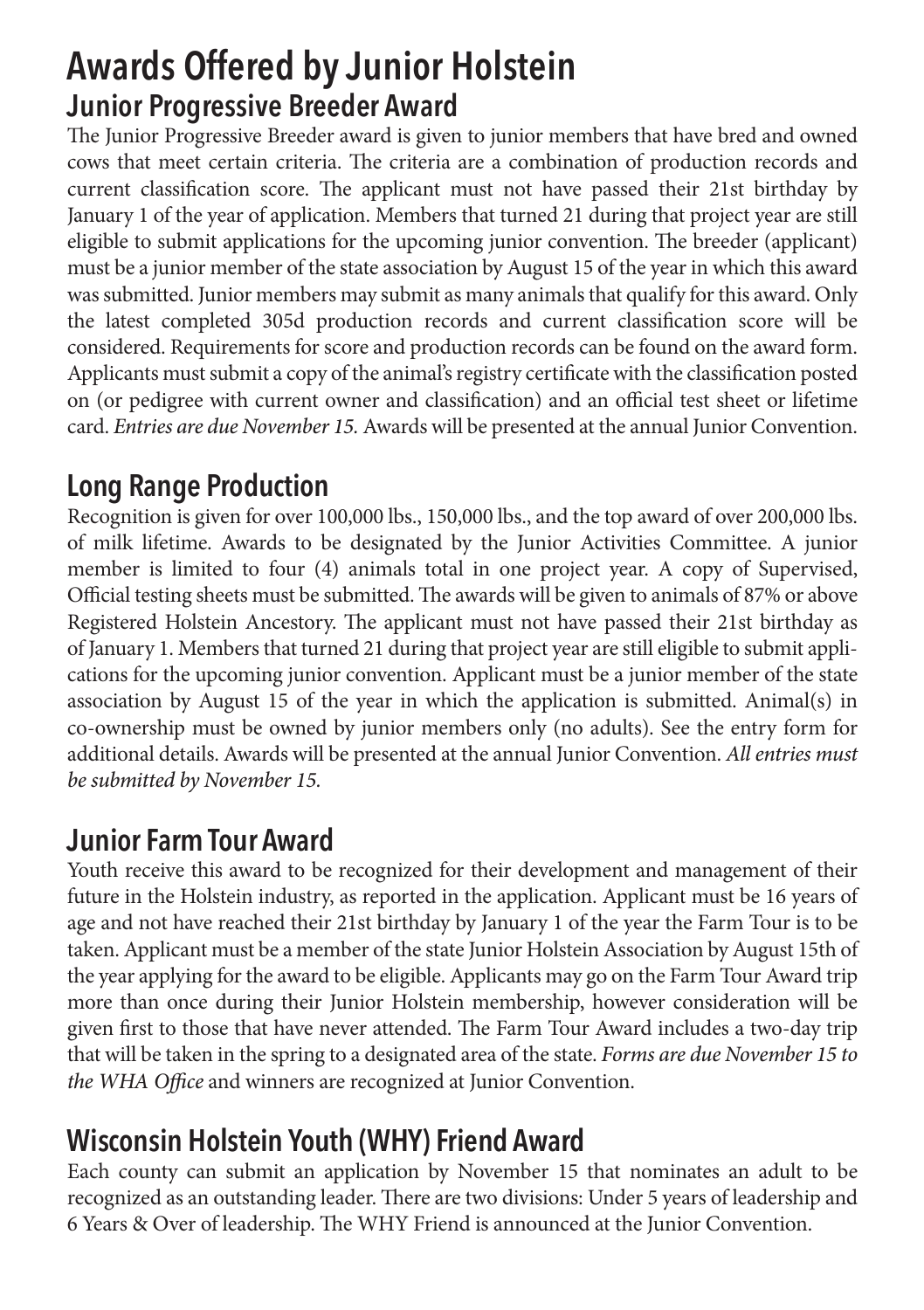## **Awards Offered by Junior Holstein Junior Progressive Breeder Award**

The Junior Progressive Breeder award is given to junior members that have bred and owned cows that meet certain criteria. The criteria are a combination of production records and current classification score. The applicant must not have passed their 21st birthday by January 1 of the year of application. Members that turned 21 during that project year are still eligible to submit applications for the upcoming junior convention. The breeder (applicant) must be a junior member of the state association by August 15 of the year in which this award was submitted. Junior members may submit as many animals that qualify for this award. Only the latest completed 305d production records and current classification score will be considered. Requirements for score and production records can be found on the award form. Applicants must submit a copy of the animal's registry certificate with the classification posted on (or pedigree with current owner and classification) and an official test sheet or lifetime card. *Entries are due November 15.* Awards will be presented at the annual Junior Convention.

#### **Long Range Production**

Recognition is given for over 100,000 lbs., 150,000 lbs., and the top award of over 200,000 lbs. of milk lifetime. Awards to be designated by the Junior Activities Committee. A junior member is limited to four (4) animals total in one project year. A copy of Supervised, Official testing sheets must be submitted. The awards will be given to animals of 87% or above Registered Holstein Ancestory. The applicant must not have passed their 21st birthday as of January 1. Members that turned 21 during that project year are still eligible to submit applications for the upcoming junior convention. Applicant must be a junior member of the state association by August 15 of the year in which the application is submitted. Animal(s) in co-ownership must be owned by junior members only (no adults). See the entry form for additional details. Awards will be presented at the annual Junior Convention. *All entries must be submitted by November 15.* 

#### **Junior Farm Tour Award**

Youth receive this award to be recognized for their development and management of their future in the Holstein industry, as reported in the application. Applicant must be 16 years of age and not have reached their 21st birthday by January 1 of the year the Farm Tour is to be taken. Applicant must be a member of the state Junior Holstein Association by August 15th of the year applying for the award to be eligible. Applicants may go on the Farm Tour Award trip more than once during their Junior Holstein membership, however consideration will be given first to those that have never attended. The Farm Tour Award includes a two-day trip that will be taken in the spring to a designated area of the state. *Forms are due November 15 to the WHA Office* and winners are recognized at Junior Convention.

#### **Wisconsin Holstein Youth (WHY) Friend Award**

Each county can submit an application by November 15 that nominates an adult to be recognized as an outstanding leader. There are two divisions: Under 5 years of leadership and 6 Years & Over of leadership. The WHY Friend is announced at the Junior Convention.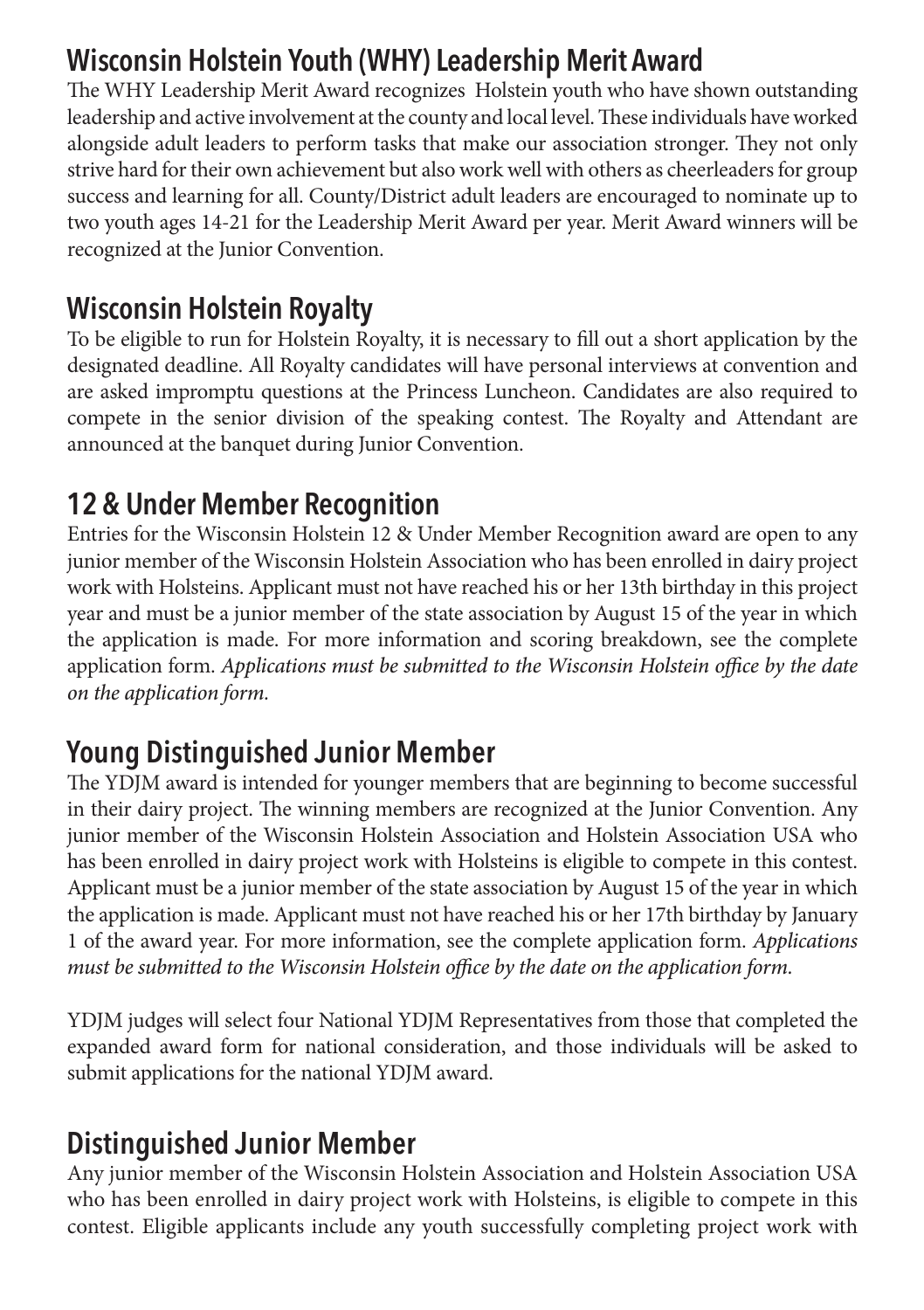#### **Wisconsin Holstein Youth (WHY) Leadership Merit Award**

The WHY Leadership Merit Award recognizes Holstein youth who have shown outstanding leadership and active involvement at the county and local level. These individuals have worked alongside adult leaders to perform tasks that make our association stronger. They not only strive hard for their own achievement but also work well with others as cheerleaders for group success and learning for all. County/District adult leaders are encouraged to nominate up to two youth ages 14-21 for the Leadership Merit Award per year. Merit Award winners will be recognized at the Junior Convention.

#### **Wisconsin Holstein Royalty**

To be eligible to run for Holstein Royalty, it is necessary to fill out a short application by the designated deadline. All Royalty candidates will have personal interviews at convention and are asked impromptu questions at the Princess Luncheon. Candidates are also required to compete in the senior division of the speaking contest. The Royalty and Attendant are announced at the banquet during Junior Convention.

#### **12 & Under Member Recognition**

Entries for the Wisconsin Holstein 12 & Under Member Recognition award are open to any junior member of the Wisconsin Holstein Association who has been enrolled in dairy project work with Holsteins. Applicant must not have reached his or her 13th birthday in this project year and must be a junior member of the state association by August 15 of the year in which the application is made. For more information and scoring breakdown, see the complete application form. *Applications must be submitted to the Wisconsin Holstein office by the date on the application form.*

#### **Young Distinguished Junior Member**

The YDJM award is intended for younger members that are beginning to become successful in their dairy project. The winning members are recognized at the Junior Convention. Any junior member of the Wisconsin Holstein Association and Holstein Association USA who has been enrolled in dairy project work with Holsteins is eligible to compete in this contest. Applicant must be a junior member of the state association by August 15 of the year in which the application is made. Applicant must not have reached his or her 17th birthday by January 1 of the award year. For more information, see the complete application form. *Applications must be submitted to the Wisconsin Holstein office by the date on the application form.*

YDJM judges will select four National YDJM Representatives from those that completed the expanded award form for national consideration, and those individuals will be asked to submit applications for the national YDJM award.

#### **Distinguished Junior Member**

Any junior member of the Wisconsin Holstein Association and Holstein Association USA who has been enrolled in dairy project work with Holsteins, is eligible to compete in this contest. Eligible applicants include any youth successfully completing project work with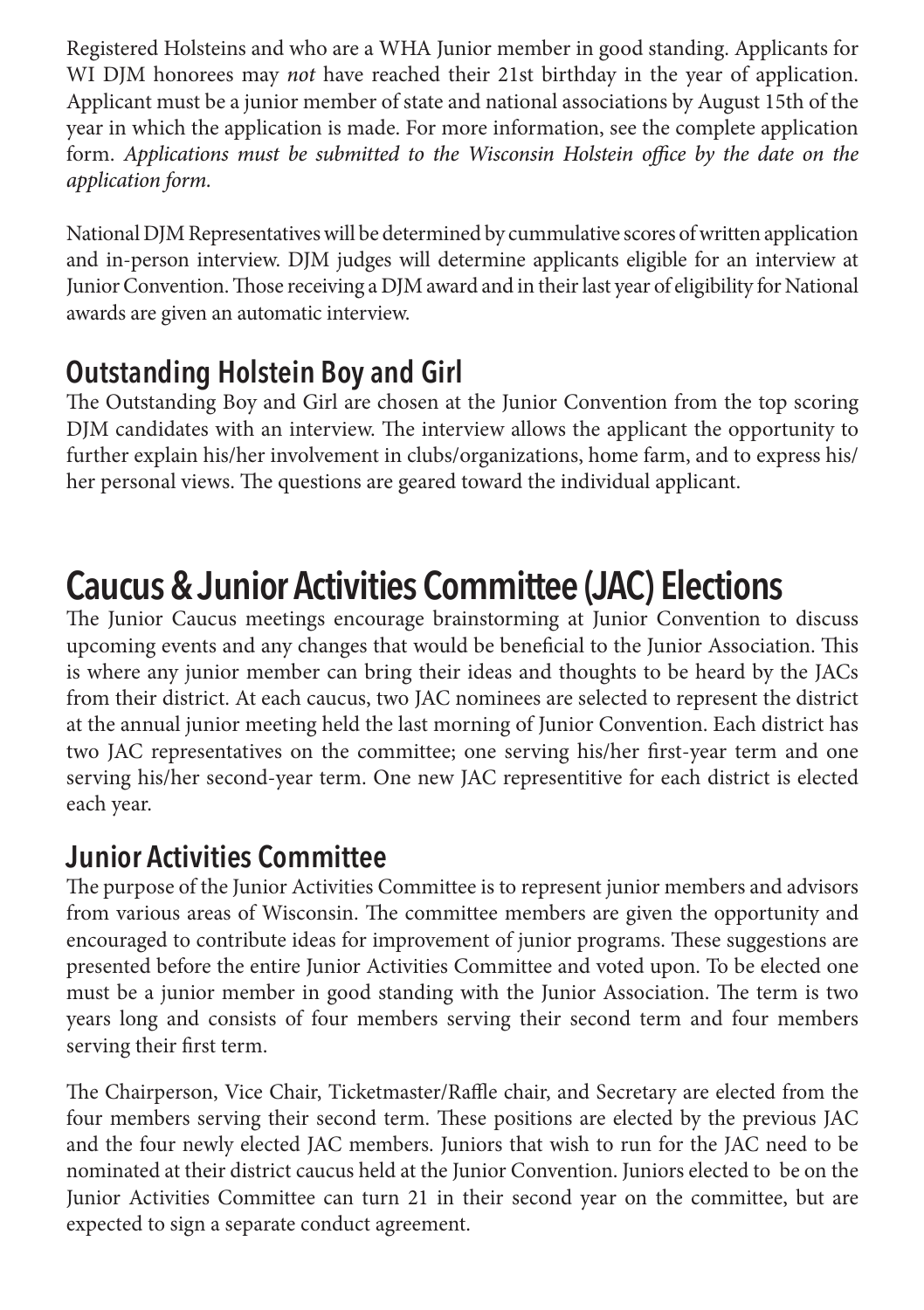Registered Holsteins and who are a WHA Junior member in good standing. Applicants for WI DJM honorees may *not* have reached their 21st birthday in the year of application. Applicant must be a junior member of state and national associations by August 15th of the year in which the application is made. For more information, see the complete application form. *Applications must be submitted to the Wisconsin Holstein office by the date on the application form.*

National DJM Representatives will be determined by cummulative scores of written application and in-person interview. DJM judges will determine applicants eligible for an interview at Junior Convention. Those receiving a DJM award and in their last year of eligibility for National awards are given an automatic interview.

#### **Outstanding Holstein Boy and Girl**

The Outstanding Boy and Girl are chosen at the Junior Convention from the top scoring DJM candidates with an interview. The interview allows the applicant the opportunity to further explain his/her involvement in clubs/organizations, home farm, and to express his/ her personal views. The questions are geared toward the individual applicant.

## **Caucus & Junior Activities Committee (JAC) Elections**

The Junior Caucus meetings encourage brainstorming at Junior Convention to discuss upcoming events and any changes that would be beneficial to the Junior Association. This is where any junior member can bring their ideas and thoughts to be heard by the JACs from their district. At each caucus, two JAC nominees are selected to represent the district at the annual junior meeting held the last morning of Junior Convention. Each district has two JAC representatives on the committee; one serving his/her first-year term and one serving his/her second-year term. One new JAC representitive for each district is elected each year.

#### **Junior Activities Committee**

The purpose of the Junior Activities Committee is to represent junior members and advisors from various areas of Wisconsin. The committee members are given the opportunity and encouraged to contribute ideas for improvement of junior programs. These suggestions are presented before the entire Junior Activities Committee and voted upon. To be elected one must be a junior member in good standing with the Junior Association. The term is two years long and consists of four members serving their second term and four members serving their first term.

The Chairperson, Vice Chair, Ticketmaster/Raffle chair, and Secretary are elected from the four members serving their second term. These positions are elected by the previous JAC and the four newly elected JAC members. Juniors that wish to run for the JAC need to be nominated at their district caucus held at the Junior Convention. Juniors elected to be on the Junior Activities Committee can turn 21 in their second year on the committee, but are expected to sign a separate conduct agreement.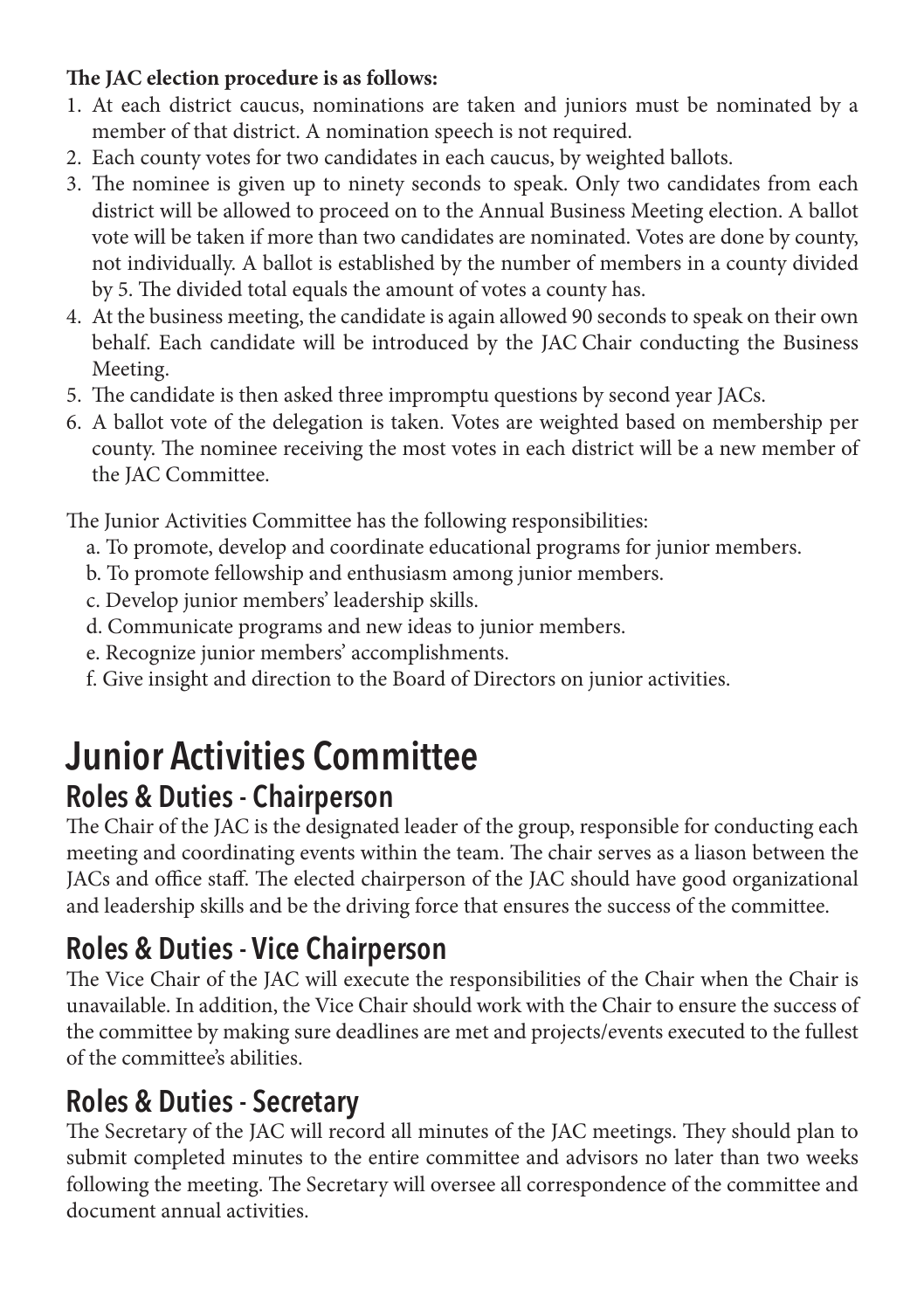#### **The JAC election procedure is as follows:**

- 1. At each district caucus, nominations are taken and juniors must be nominated by a member of that district. A nomination speech is not required.
- 2. Each county votes for two candidates in each caucus, by weighted ballots.
- 3. The nominee is given up to ninety seconds to speak. Only two candidates from each district will be allowed to proceed on to the Annual Business Meeting election. A ballot vote will be taken if more than two candidates are nominated. Votes are done by county, not individually. A ballot is established by the number of members in a county divided by 5. The divided total equals the amount of votes a county has.
- 4. At the business meeting, the candidate is again allowed 90 seconds to speak on their own behalf. Each candidate will be introduced by the JAC Chair conducting the Business Meeting.
- 5. The candidate is then asked three impromptu questions by second year JACs.
- 6. A ballot vote of the delegation is taken. Votes are weighted based on membership per county. The nominee receiving the most votes in each district will be a new member of the JAC Committee.

The Junior Activities Committee has the following responsibilities:

- a. To promote, develop and coordinate educational programs for junior members.
- b. To promote fellowship and enthusiasm among junior members.
- c. Develop junior members' leadership skills.
- d. Communicate programs and new ideas to junior members.
- e. Recognize junior members' accomplishments.
- f. Give insight and direction to the Board of Directors on junior activities.

#### **Junior Activities Committee Roles & Duties - Chairperson**

The Chair of the JAC is the designated leader of the group, responsible for conducting each meeting and coordinating events within the team. The chair serves as a liason between the JACs and office staff. The elected chairperson of the JAC should have good organizational and leadership skills and be the driving force that ensures the success of the committee.

#### **Roles & Duties - Vice Chairperson**

The Vice Chair of the JAC will execute the responsibilities of the Chair when the Chair is unavailable. In addition, the Vice Chair should work with the Chair to ensure the success of the committee by making sure deadlines are met and projects/events executed to the fullest of the committee's abilities.

#### **Roles & Duties - Secretary**

The Secretary of the JAC will record all minutes of the JAC meetings. They should plan to submit completed minutes to the entire committee and advisors no later than two weeks following the meeting. The Secretary will oversee all correspondence of the committee and document annual activities.